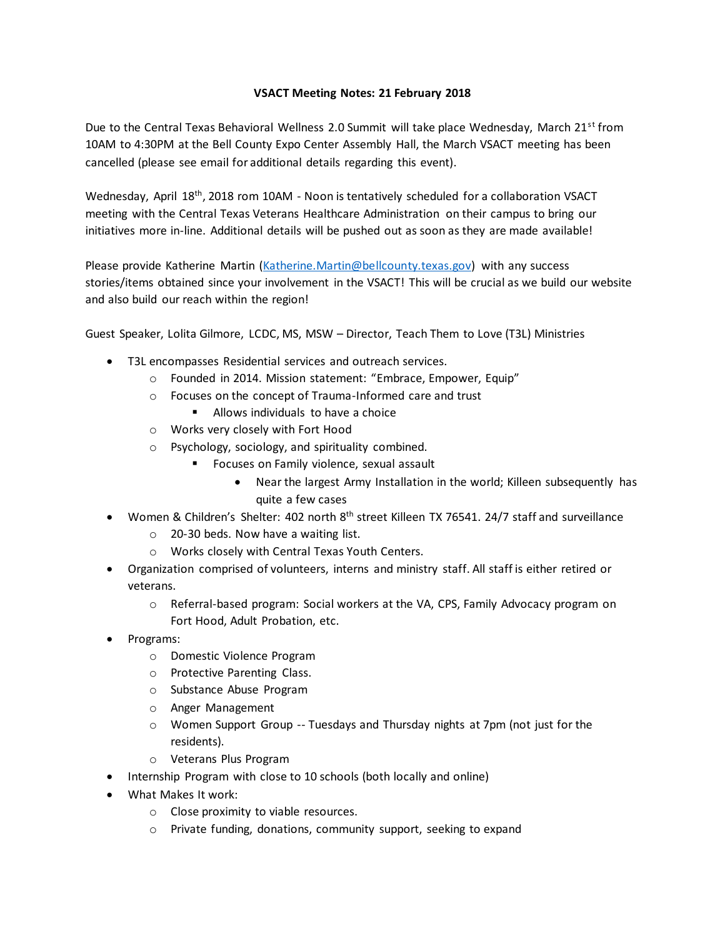## **VSACT Meeting Notes: 21 February 2018**

Due to the Central Texas Behavioral Wellness 2.0 Summit will take place Wednesday, March  $21^{st}$  from 10AM to 4:30PM at the Bell County Expo Center Assembly Hall, the March VSACT meeting has been cancelled (please see email for additional details regarding this event).

Wednesday, April 18<sup>th</sup>, 2018 rom 10AM - Noon is tentatively scheduled for a collaboration VSACT meeting with the Central Texas Veterans Healthcare Administration on their campus to bring our initiatives more in-line. Additional details will be pushed out as soon as they are made available!

Please provide Katherine Martin [\(Katherine.Martin@bellcounty.texas.gov\)](mailto:Katherine.Martin@bellcounty.texas.gov) with any success stories/items obtained since your involvement in the VSACT! This will be crucial as we build our website and also build our reach within the region!

Guest Speaker, Lolita Gilmore, LCDC, MS, MSW – Director, Teach Them to Love (T3L) Ministries

- T3L encompasses Residential services and outreach services.
	- o Founded in 2014. Mission statement: "Embrace, Empower, Equip"
	- o Focuses on the concept of Trauma-Informed care and trust
		- Allows individuals to have a choice
	- o Works very closely with Fort Hood
	- o Psychology, sociology, and spirituality combined.
		- Focuses on Family violence, sexual assault
			- Near the largest Army Installation in the world; Killeen subsequently has quite a few cases
- Women & Children's Shelter: 402 north 8<sup>th</sup> street Killeen TX 76541. 24/7 staff and surveillance
	- o 20-30 beds. Now have a waiting list.
	- o Works closely with Central Texas Youth Centers.
- Organization comprised of volunteers, interns and ministry staff. All staff is either retired or veterans.
	- o Referral-based program: Social workers at the VA, CPS, Family Advocacy program on Fort Hood, Adult Probation, etc.
- Programs:
	- o Domestic Violence Program
	- o Protective Parenting Class.
	- o Substance Abuse Program
	- o Anger Management
	- $\circ$  Women Support Group -- Tuesdays and Thursday nights at 7pm (not just for the residents).
	- o Veterans Plus Program
- Internship Program with close to 10 schools (both locally and online)
- What Makes It work:
	- o Close proximity to viable resources.
	- o Private funding, donations, community support, seeking to expand